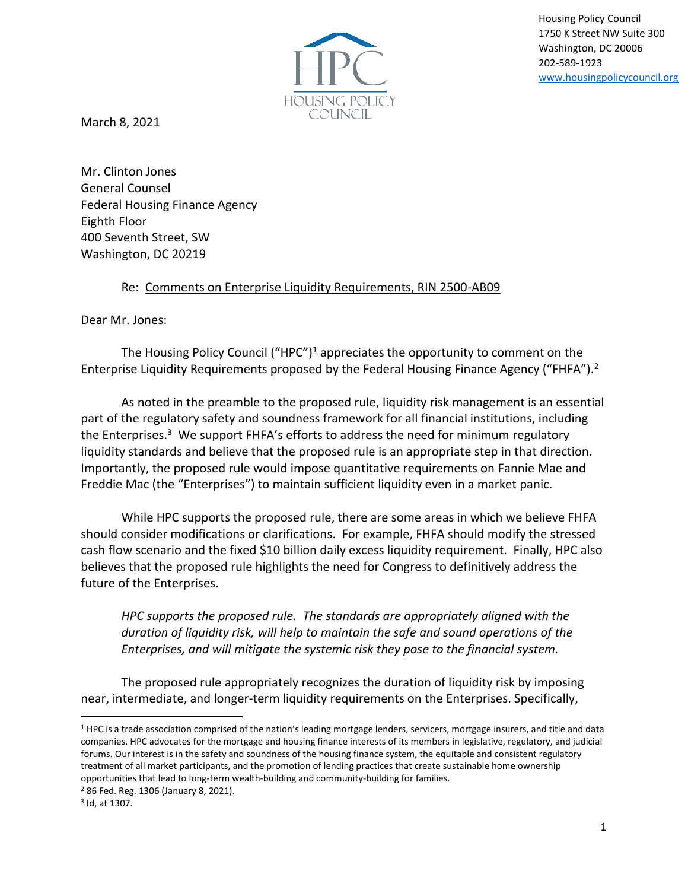Housing Policy Council 1750 K Street NW Suite 300 Washington, DC 20006 202-589-1923 [www.housingpolicycouncil.org](http://www.housingpolicycouncil.org/)



March 8, 2021

Mr. Clinton Jones General Counsel Federal Housing Finance Agency Eighth Floor 400 Seventh Street, SW Washington, DC 20219

## Re: Comments on Enterprise Liquidity Requirements, RIN 2500-AB09

Dear Mr. Jones:

The Housing Policy Council ("HPC")<sup>1</sup> appreciates the opportunity to comment on the Enterprise Liquidity Requirements proposed by the Federal Housing Finance Agency ("FHFA").<sup>2</sup>

As noted in the preamble to the proposed rule, liquidity risk management is an essential part of the regulatory safety and soundness framework for all financial institutions, including the Enterprises.<sup>3</sup> We support FHFA's efforts to address the need for minimum regulatory liquidity standards and believe that the proposed rule is an appropriate step in that direction. Importantly, the proposed rule would impose quantitative requirements on Fannie Mae and Freddie Mac (the "Enterprises") to maintain sufficient liquidity even in a market panic.

While HPC supports the proposed rule, there are some areas in which we believe FHFA should consider modifications or clarifications. For example, FHFA should modify the stressed cash flow scenario and the fixed \$10 billion daily excess liquidity requirement. Finally, HPC also believes that the proposed rule highlights the need for Congress to definitively address the future of the Enterprises.

*HPC supports the proposed rule. The standards are appropriately aligned with the duration of liquidity risk, will help to maintain the safe and sound operations of the Enterprises, and will mitigate the systemic risk they pose to the financial system.* 

The proposed rule appropriately recognizes the duration of liquidity risk by imposing near, intermediate, and longer-term liquidity requirements on the Enterprises. Specifically,

<sup>2</sup> 86 Fed. Reg. 1306 (January 8, 2021).

<sup>1</sup> HPC is a trade association comprised of the nation's leading mortgage lenders, servicers, mortgage insurers, and title and data companies. HPC advocates for the mortgage and housing finance interests of its members in legislative, regulatory, and judicial forums. Our interest is in the safety and soundness of the housing finance system, the equitable and consistent regulatory treatment of all market participants, and the promotion of lending practices that create sustainable home ownership opportunities that lead to long-term wealth-building and community-building for families.

<sup>3</sup> Id, at 1307.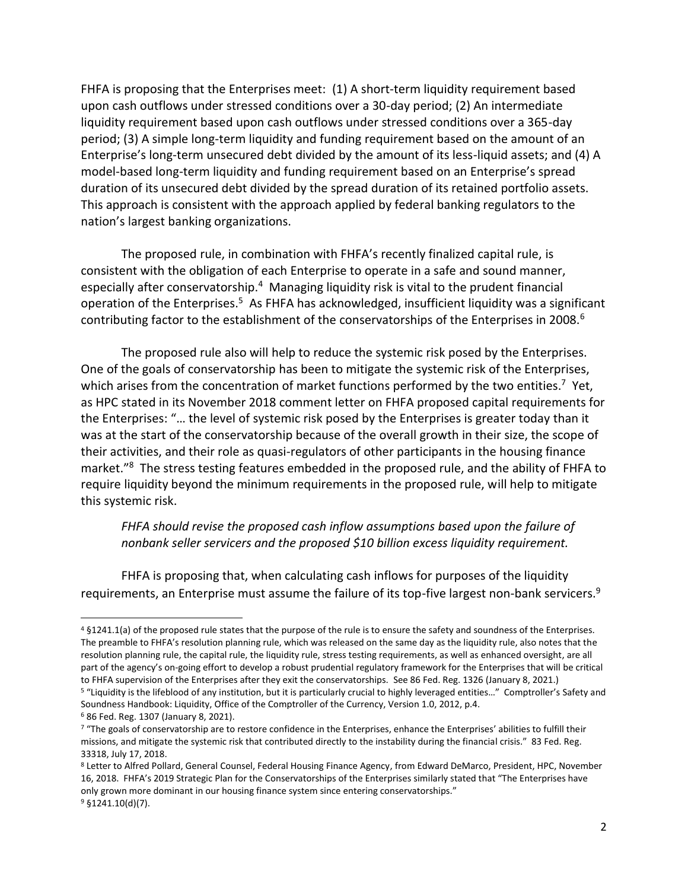FHFA is proposing that the Enterprises meet: (1) A short-term liquidity requirement based upon cash outflows under stressed conditions over a 30-day period; (2) An intermediate liquidity requirement based upon cash outflows under stressed conditions over a 365-day period; (3) A simple long-term liquidity and funding requirement based on the amount of an Enterprise's long-term unsecured debt divided by the amount of its less-liquid assets; and (4) A model-based long-term liquidity and funding requirement based on an Enterprise's spread duration of its unsecured debt divided by the spread duration of its retained portfolio assets. This approach is consistent with the approach applied by federal banking regulators to the nation's largest banking organizations.

The proposed rule, in combination with FHFA's recently finalized capital rule, is consistent with the obligation of each Enterprise to operate in a safe and sound manner, especially after conservatorship.<sup>4</sup> Managing liquidity risk is vital to the prudent financial operation of the Enterprises.<sup>5</sup> As FHFA has acknowledged, insufficient liquidity was a significant contributing factor to the establishment of the conservatorships of the Enterprises in 2008.<sup>6</sup>

The proposed rule also will help to reduce the systemic risk posed by the Enterprises. One of the goals of conservatorship has been to mitigate the systemic risk of the Enterprises, which arises from the concentration of market functions performed by the two entities.<sup>7</sup> Yet, as HPC stated in its November 2018 comment letter on FHFA proposed capital requirements for the Enterprises: "… the level of systemic risk posed by the Enterprises is greater today than it was at the start of the conservatorship because of the overall growth in their size, the scope of their activities, and their role as quasi-regulators of other participants in the housing finance market."<sup>8</sup> The stress testing features embedded in the proposed rule, and the ability of FHFA to require liquidity beyond the minimum requirements in the proposed rule, will help to mitigate this systemic risk.

*FHFA should revise the proposed cash inflow assumptions based upon the failure of nonbank seller servicers and the proposed \$10 billion excess liquidity requirement.* 

FHFA is proposing that, when calculating cash inflows for purposes of the liquidity requirements, an Enterprise must assume the failure of its top-five largest non-bank servicers.<sup>9</sup>

<sup>4</sup> §1241.1(a) of the proposed rule states that the purpose of the rule is to ensure the safety and soundness of the Enterprises. The preamble to FHFA's resolution planning rule, which was released on the same day as the liquidity rule, also notes that the resolution planning rule, the capital rule, the liquidity rule, stress testing requirements, as well as enhanced oversight, are all part of the agency's on-going effort to develop a robust prudential regulatory framework for the Enterprises that will be critical to FHFA supervision of the Enterprises after they exit the conservatorships. See 86 Fed. Reg. 1326 (January 8, 2021.)

<sup>5</sup> "Liquidity is the lifeblood of any institution, but it is particularly crucial to highly leveraged entities…" Comptroller's Safety and Soundness Handbook: Liquidity, Office of the Comptroller of the Currency, Version 1.0, 2012, p.4.

<sup>6</sup> 86 Fed. Reg. 1307 (January 8, 2021).

<sup>7 &</sup>quot;The goals of conservatorship are to restore confidence in the Enterprises, enhance the Enterprises' abilities to fulfill their missions, and mitigate the systemic risk that contributed directly to the instability during the financial crisis." 83 Fed. Reg. 33318, July 17, 2018.

<sup>8</sup> Letter to Alfred Pollard, General Counsel, Federal Housing Finance Agency, from Edward DeMarco, President, HPC, November 16, 2018. FHFA's 2019 Strategic Plan for the Conservatorships of the Enterprises similarly stated that "The Enterprises have only grown more dominant in our housing finance system since entering conservatorships."  $9$  §1241.10(d)(7).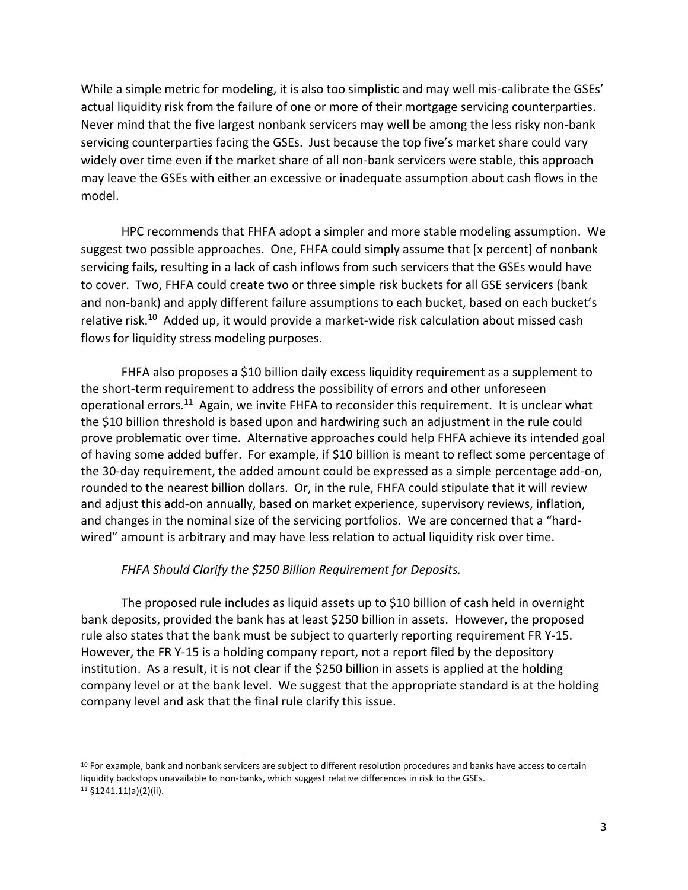While a simple metric for modeling, it is also too simplistic and may well mis-calibrate the GSEs' actual liquidity risk from the failure of one or more of their mortgage servicing counterparties. Never mind that the five largest nonbank servicers may well be among the less risky non-bank servicing counterparties facing the GSEs. Just because the top five's market share could vary widely over time even if the market share of all non-bank servicers were stable, this approach may leave the GSEs with either an excessive or inadequate assumption about cash flows in the model.

HPC recommends that FHFA adopt a simpler and more stable modeling assumption. We suggest two possible approaches. One, FHFA could simply assume that [x percent] of nonbank servicing fails, resulting in a lack of cash inflows from such servicers that the GSEs would have to cover. Two, FHFA could create two or three simple risk buckets for all GSE servicers (bank and non-bank) and apply different failure assumptions to each bucket, based on each bucket's relative risk.<sup>10</sup> Added up, it would provide a market-wide risk calculation about missed cash flows for liquidity stress modeling purposes.

FHFA also proposes a \$10 billion daily excess liquidity requirement as a supplement to the short-term requirement to address the possibility of errors and other unforeseen operational errors.<sup>11</sup> Again, we invite FHFA to reconsider this requirement. It is unclear what the \$10 billion threshold is based upon and hardwiring such an adjustment in the rule could prove problematic over time. Alternative approaches could help FHFA achieve its intended goal of having some added buffer. For example, if \$10 billion is meant to reflect some percentage of the 30-day requirement, the added amount could be expressed as a simple percentage add-on, rounded to the nearest billion dollars. Or, in the rule, FHFA could stipulate that it will review and adjust this add-on annually, based on market experience, supervisory reviews, inflation, and changes in the nominal size of the servicing portfolios. We are concerned that a "hardwired" amount is arbitrary and may have less relation to actual liquidity risk over time.

## *FHFA Should Clarify the \$250 Billion Requirement for Deposits.*

The proposed rule includes as liquid assets up to \$10 billion of cash held in overnight bank deposits, provided the bank has at least \$250 billion in assets. However, the proposed rule also states that the bank must be subject to quarterly reporting requirement FR Y-15. However, the FR Y-15 is a holding company report, not a report filed by the depository institution. As a result, it is not clear if the \$250 billion in assets is applied at the holding company level or at the bank level. We suggest that the appropriate standard is at the holding company level and ask that the final rule clarify this issue.

<sup>&</sup>lt;sup>10</sup> For example, bank and nonbank servicers are subject to different resolution procedures and banks have access to certain liquidity backstops unavailable to non-banks, which suggest relative differences in risk to the GSEs. <sup>11</sup> §1241.11(a)(2)(ii).